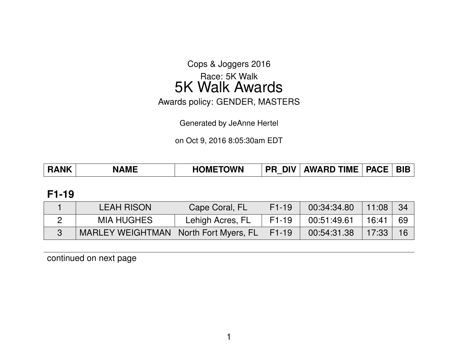Cops & Joggers 2016

# Race: 5K Walk 5K Walk Awards

Awards policy: GENDER, MASTERS

Generated by JeAnne Hertel

on Oct 9, 2016 8:05:30am EDT

| AWARD TIME   PACE  <br>  BIB<br><b>PR DIV</b><br><b>HOMETOWN</b><br><b>RANK</b><br><b>NAME</b> |
|------------------------------------------------------------------------------------------------|
|------------------------------------------------------------------------------------------------|

#### **F1-19**

| <b>LEAH RISON</b>                       | Cape Coral, FL   | $F1-19$ | 00:34:34.80 | 11:08 | - 34 |
|-----------------------------------------|------------------|---------|-------------|-------|------|
| <b>MIA HUGHES</b>                       | Lehigh Acres, FL | F1-19   | 00:51:49.61 | 16:41 | 69   |
| MARLEY WEIGHTMAN   North Fort Myers, FL |                  | F1-19   | 00:54:31.38 | 17:33 | 16   |

continued on next page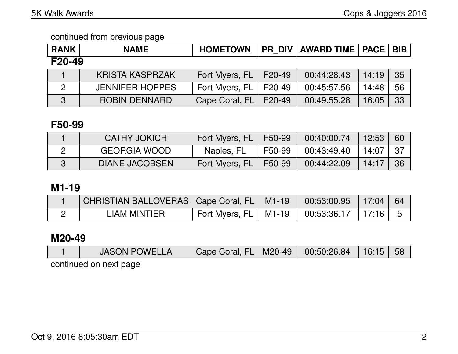#### continued from previous page

| <b>RANK</b> | <b>NAME</b>            | <b>HOMETOWN</b> |        | PR DIV   AWARD TIME   PACE   BIB |       |    |
|-------------|------------------------|-----------------|--------|----------------------------------|-------|----|
| F20-49      |                        |                 |        |                                  |       |    |
|             | <b>KRISTA KASPRZAK</b> | Fort Myers, FL  | F20-49 | 00:44:28.43                      | 14:19 | 35 |
| 2           | <b>JENNIFER HOPPES</b> | Fort Myers, FL  | F20-49 | 00:45:57.56                      | 14:48 | 56 |
| 3           | ROBIN DENNARD          | Cape Coral, FL  | F20-49 | 00:49:55.28                      | 16:05 | 33 |

### **F50-99**

| <b>CATHY JOKICH</b>   | Fort Myers, FL   F50-99 |                | $00:40:00.74$   12:53 |         | 60   |
|-----------------------|-------------------------|----------------|-----------------------|---------|------|
| <b>GEORGIA WOOD</b>   | Naples, FL              | F50-99         | 00:43:49.40           | 14:07 L | - 37 |
| <b>DIANE JACOBSEN</b> | Fort Myers, FL          | $\vert$ F50-99 | 00:44:22.09           | 14:17   | -36  |

# **M1-19**

| CHRISTIAN BALLOVERAS   Cape Coral, FL   M1-19   00:53:00.95   17:04   64 |                                                  |  |  |
|--------------------------------------------------------------------------|--------------------------------------------------|--|--|
| LIAM MINTIER                                                             | Fort Myers, FL   M1-19   00:53:36.17   17:16   5 |  |  |

## **M20-49**

|                        | <b>JASON POWELLA</b> | Cape Coral, FL   M20-49   00:50:26.84   16:15   58 |  |  |  |  |  |
|------------------------|----------------------|----------------------------------------------------|--|--|--|--|--|
| continued on novt nogo |                      |                                                    |  |  |  |  |  |

continued on next page